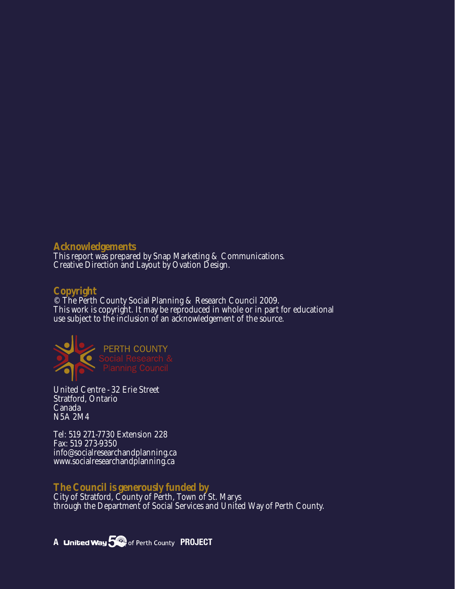#### **Acknowledgements**

This report was prepared by Snap Marketing & Communications. Creative Direction and Layout by Ovation Design.

### **Copyright**

© The Perth County Social Planning & Research Council 2009. This work is copyright. It may be reproduced in whole or in part for educational use subject to the inclusion of an acknowledgement of the source.



United Centre - 32 Erie Street Stratford, Ontario Canada N5A 2M4

Tel: 519 271-7730 Extension 228 Fax: 519 273-9350 info@socialresearchandplanning.ca www.socialresearchandplanning.ca

### **The Council is generously funded by**

City of Stratford, County of Perth, Town of St. Marys through the Department of Social Services and United Way of Perth County.

A **United Way 5<sup>00</sup> of Perth County PROJECT**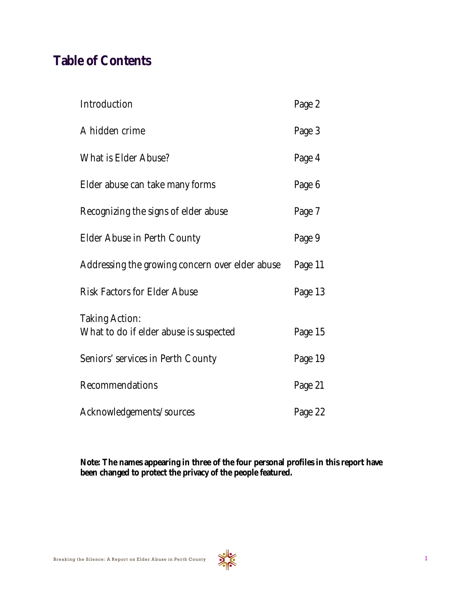# **Table of Contents**

| Introduction                                                    | Page 2  |
|-----------------------------------------------------------------|---------|
| A hidden crime                                                  | Page 3  |
| <b>What is Elder Abuse?</b>                                     | Page 4  |
| Elder abuse can take many forms                                 | Page 6  |
| Recognizing the signs of elder abuse                            | Page 7  |
| Elder Abuse in Perth County                                     | Page 9  |
| Addressing the growing concern over elder abuse                 | Page 11 |
| <b>Risk Factors for Elder Abuse</b>                             | Page 13 |
|                                                                 |         |
| <b>Taking Action:</b><br>What to do if elder abuse is suspected | Page 15 |
| Seniors' services in Perth County                               | Page 19 |
| Recommendations                                                 | Page 21 |
| Acknowledgements/sources                                        | Page 22 |

**Note: The names appearing in three of the four personal profiles in this report have been changed to protect the privacy of the people featured.**

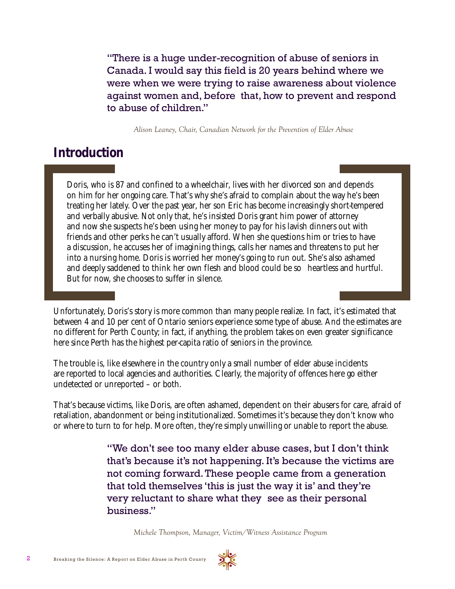"There is a huge under-recognition of abuse of seniors in Canada. I would say this field is 20 years behind where we were when we were trying to raise awareness about violence against women and, before that, how to prevent and respond to abuse of children."

*Alison Leaney, Chair, Canadian Network for the Prevention of Elder Abuse*

## **Introduction**

Doris, who is 87 and confined to a wheelchair, lives with her divorced son and depends on him for her ongoing care. That's why she's afraid to complain about the way he's been treating her lately. Over the past year, her son Eric has become increasingly short-tempered and verbally abusive. Not only that, he's insisted Doris grant him power of attorney and now she suspects he's been using her money to pay for his lavish dinners out with friends and other perks he can't usually afford. When she questions him or tries to have a discussion, he accuses her of imagining things, calls her names and threatens to put her into a nursing home. Doris is worried her money's going to run out. She's also ashamed and deeply saddened to think her own flesh and blood could be so heartless and hurtful. But for now, she chooses to suffer in silence.

Unfortunately, Doris's story is more common than many people realize. In fact, it's estimated that between 4 and 10 per cent of Ontario seniors experience some type of abuse. And the estimates are no different for Perth County; in fact, if anything, the problem takes on even greater significance here since Perth has the highest per-capita ratio of seniors in the province.

The trouble is, like elsewhere in the country only a small number of elder abuse incidents are reported to local agencies and authorities. Clearly, the majority of offences here go either undetected or unreported – or both.

That's because victims, like Doris, are often ashamed, dependent on their abusers for care, afraid of retaliation, abandonment or being institutionalized. Sometimes it's because they don't know who or where to turn to for help. More often, they're simply unwilling or unable to report the abuse.

> "We don't see too many elder abuse cases, but I don't think that's because it's not happening. It's because the victims are not coming forward. These people came from a generation that told themselves 'this is just the way it is' and they're very reluctant to share what they see as their personal business."

*Michele Thompson, Manager, Victim/Witness Assistance Program*

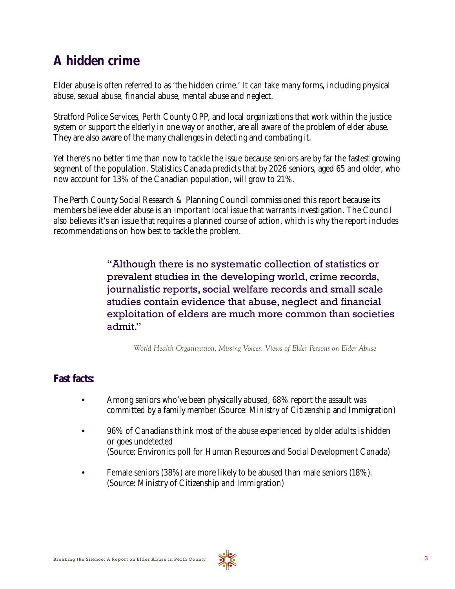# **A hidden crime**

Elder abuse is often referred to as 'the hidden crime.' It can take many forms, including physical abuse, sexual abuse, financial abuse, mental abuse and neglect.

Stratford Police Services, Perth County OPP, and local organizations that work within the justice system or support the elderly in one way or another, are all aware of the problem of elder abuse. They are also aware of the many challenges in detecting and combating it.

Yet there's no better time than now to tackle the issue because seniors are by far the fastest growing segment of the population. Statistics Canada predicts that by 2026 seniors, aged 65 and older, who now account for 13% of the Canadian population, will grow to 21%.

The Perth County Social Research & Planning Council commissioned this report because its members believe elder abuse is an important local issue that warrants investigation. The Council also believes it's an issue that requires a planned course of action, which is why the report includes recommendations on how best to tackle the problem.

> "Although there is no systematic collection of statistics or prevalent studies in the developing world, crime records, journalistic reports, social welfare records and small scale studies contain evidence that abuse, neglect and financial exploitation of elders are much more common than societies admit."

*World Health Organization, Missing Voices: Views of Elder Persons on Elder Abuse*

### **Fast facts:**

- Among seniors who've been physically abused, 68% report the assault was committed by a family member (Source: Ministry of Citizenship and Immigration)
- 96% of Canadians think most of the abuse experienced by older adults is hidden or goes undetected (Source: Environics poll for Human Resources and Social Development Canada)
- Female seniors (38%) are more likely to be abused than male seniors (18%). (Source: Ministry of Citizenship and Immigration)

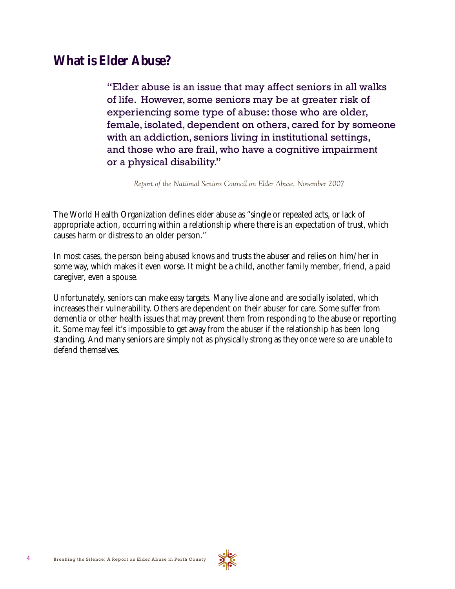## **What is Elder Abuse?**

"Elder abuse is an issue that may affect seniors in all walks of life. However, some seniors may be at greater risk of experiencing some type of abuse: those who are older, female, isolated, dependent on others, cared for by someone with an addiction, seniors living in institutional settings, and those who are frail, who have a cognitive impairment or a physical disability."

*Report of the National Seniors Council on Elder Abuse, November 2007* 

The World Health Organization defines elder abuse as "single or repeated acts, or lack of appropriate action, occurring within a relationship where there is an expectation of trust, which causes harm or distress to an older person."

In most cases, the person being abused knows and trusts the abuser and relies on him/her in some way, which makes it even worse. It might be a child, another family member, friend, a paid caregiver, even a spouse.

Unfortunately, seniors can make easy targets. Many live alone and are socially isolated, which increases their vulnerability. Others are dependent on their abuser for care. Some suffer from dementia or other health issues that may prevent them from responding to the abuse or reporting it. Some may feel it's impossible to get away from the abuser if the relationship has been long standing. And many seniors are simply not as physically strong as they once were so are unable to defend themselves.

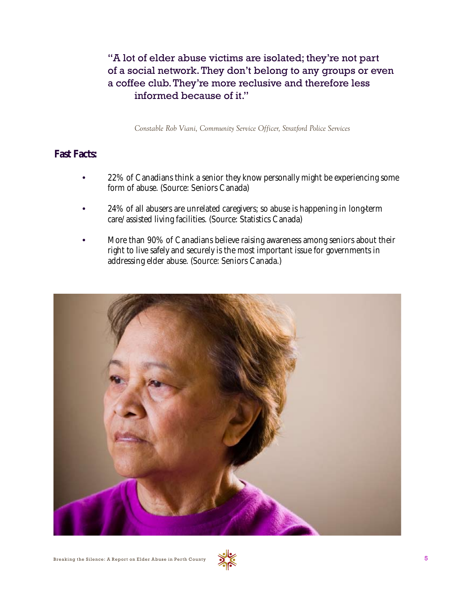## "A lot of elder abuse victims are isolated; they're not part of a social network. They don't belong to any groups or even a coffee club. They're more reclusive and therefore less informed because of it."

*Constable Rob Viani, Community Service Officer, Stratford Police Services*

### **Fast Facts:**

- 22% of Canadians think a senior they know personally might be experiencing some form of abuse. (Source: Seniors Canada)
- 24% of all abusers are unrelated caregivers; so abuse is happening in long-term care/assisted living facilities. (Source: Statistics Canada)
- More than 90% of Canadians believe raising awareness among seniors about their right to live safely and securely is the most important issue for governments in addressing elder abuse. (Source: Seniors Canada.)



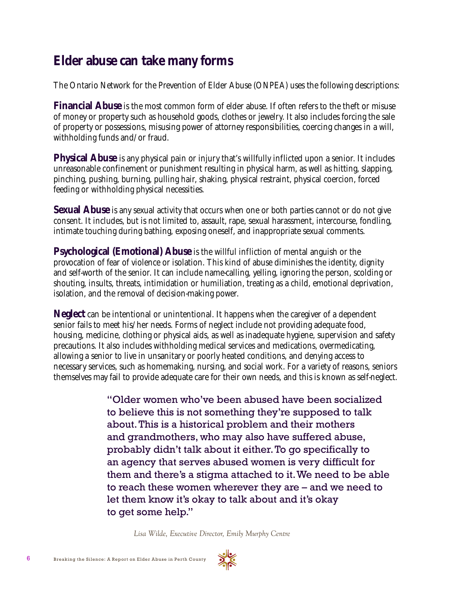## **Elder abuse can take many forms**

The Ontario Network for the Prevention of Elder Abuse (ONPEA) uses the following descriptions:

**Financial Abuse** is the most common form of elder abuse. If often refers to the theft or misuse of money or property such as household goods, clothes or jewelry. It also includes forcing the sale of property or possessions, misusing power of attorney responsibilities, coercing changes in a will, withholding funds and/or fraud.

**Physical Abuse** is any physical pain or injury that's willfully inflicted upon a senior. It includes unreasonable confinement or punishment resulting in physical harm, as well as hitting, slapping, pinching, pushing, burning, pulling hair, shaking, physical restraint, physical coercion, forced feeding or withholding physical necessities.

**Sexual Abuse** is any sexual activity that occurs when one or both parties cannot or do not give consent. It includes, but is not limited to, assault, rape, sexual harassment, intercourse, fondling, intimate touching during bathing, exposing oneself, and inappropriate sexual comments.

**Psychological (Emotional) Abuse** is the willful infliction of mental anguish or the provocation of fear of violence or isolation. This kind of abuse diminishes the identity, dignity and self-worth of the senior. It can include name-calling, yelling, ignoring the person, scolding or shouting, insults, threats, intimidation or humiliation, treating as a child, emotional deprivation, isolation, and the removal of decision-making power.

**Neglect** can be intentional or unintentional. It happens when the caregiver of a dependent senior fails to meet his/her needs. Forms of neglect include not providing adequate food, housing, medicine, clothing or physical aids, as well as inadequate hygiene, supervision and safety precautions. It also includes withholding medical services and medications, overmedicating, allowing a senior to live in unsanitary or poorly heated conditions, and denying access to necessary services, such as homemaking, nursing, and social work. For a variety of reasons, seniors themselves may fail to provide adequate care for their own needs, and this is known as self-neglect.

> "Older women who've been abused have been socialized to believe this is not something they're supposed to talk about. This is a historical problem and their mothers and grandmothers, who may also have suffered abuse, probably didn't talk about it either. To go specifically to an agency that serves abused women is very difficult for them and there's a stigma attached to it. We need to be able to reach these women wherever they are – and we need to let them know it's okay to talk about and it's okay to get some help."

*Lisa Wilde, Executive Director, Emily Murphy Centre*

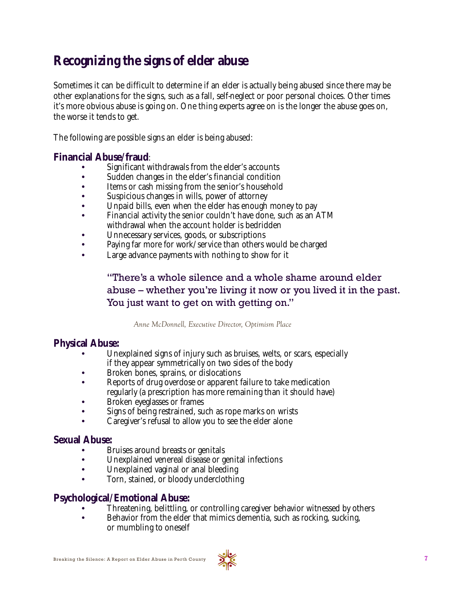# **Recognizing the signs of elder abuse**

Sometimes it can be difficult to determine if an elder is actually being abused since there may be other explanations for the signs, such as a fall, self-neglect or poor personal choices. Other times it's more obvious abuse is going on. One thing experts agree on is the longer the abuse goes on, the worse it tends to get.

The following are possible signs an elder is being abused:

#### **Financial Abuse/fraud**:

- Significant withdrawals from the elder's accounts
- Sudden changes in the elder's financial condition
- Items or cash missing from the senior's household
- Suspicious changes in wills, power of attorney
- Unpaid bills, even when the elder has enough money to pay
- Financial activity the senior couldn't have done, such as an ATM withdrawal when the account holder is bedridden
- Unnecessary services, goods, or subscriptions
- Paying far more for work/service than others would be charged
- Large advance payments with nothing to show for it

## "There's a whole silence and a whole shame around elder abuse – whether you're living it now or you lived it in the past. You just want to get on with getting on."

*Anne McDonnell, Executive Director, Optimism Place*

#### **Physical Abuse:**

- Unexplained signs of injury such as bruises, welts, or scars, especially if they appear symmetrically on two sides of the body
- Broken bones, sprains, or dislocations
- Reports of drug overdose or apparent failure to take medication regularly (a prescription has more remaining than it should have)
- Broken eyeglasses or frames
- Signs of being restrained, such as rope marks on wrists
- Caregiver's refusal to allow you to see the elder alone

### **Sexual Abuse:**

- Bruises around breasts or genitals
- Unexplained venereal disease or genital infections
- Unexplained vaginal or anal bleeding
- Torn, stained, or bloody underclothing

### **Psychological/Emotional Abuse:**

- Threatening, belittling, or controlling caregiver behavior witnessed by others
- Behavior from the elder that mimics dementia, such as rocking, sucking, or mumbling to oneself

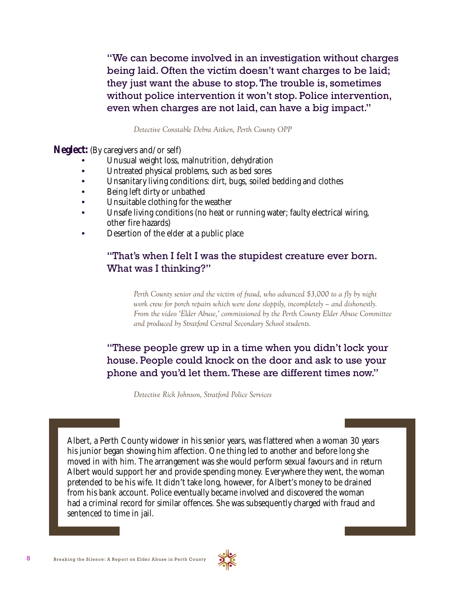"We can become involved in an investigation without charges being laid. Often the victim doesn't want charges to be laid; they just want the abuse to stop. The trouble is, sometimes without police intervention it won't stop. Police intervention, even when charges are not laid, can have a big impact."

*Detective Constable Debra Aitken, Perth County OPP*

**Neglect:** (By caregivers and/or self)

- Unusual weight loss, malnutrition, dehydration
- Untreated physical problems, such as bed sores
- Unsanitary living conditions: dirt, bugs, soiled bedding and clothes
- Being left dirty or unbathed
- Unsuitable clothing for the weather
- Unsafe living conditions (no heat or running water; faulty electrical wiring, other fire hazards)
- Desertion of the elder at a public place

## "That's when I felt I was the stupidest creature ever born. What was I thinking?"

 *Perth County senior and the victim of fraud, who advanced \$3,000 to a fly by night work crew for porch repairs which were done sloppily, incompletely – and dishonestly. From the video 'Elder Abuse,' commissioned by the Perth County Elder Abuse Committee and produced by Stratford Central Secondary School students.*

## "These people grew up in a time when you didn't lock your house. People could knock on the door and ask to use your phone and you'd let them. These are different times now."

*Detective Rick Johnson, Stratford Police Services*

Albert, a Perth County widower in his senior years, was flattered when a woman 30 years his junior began showing him affection. One thing led to another and before long she moved in with him. The arrangement was she would perform sexual favours and in return Albert would support her and provide spending money. Everywhere they went, the woman pretended to be his wife. It didn't take long, however, for Albert's money to be drained from his bank account. Police eventually became involved and discovered the woman had a criminal record for similar offences. She was subsequently charged with fraud and sentenced to time in jail.

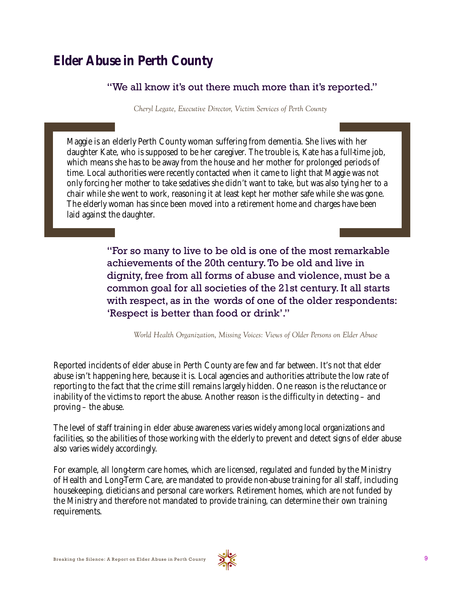# **Elder Abuse in Perth County**

## "We all know it's out there much more than it's reported."

*Cheryl Legate, Executive Director, Victim Services of Perth County*

Maggie is an elderly Perth County woman suffering from dementia. She lives with her daughter Kate, who is supposed to be her caregiver. The trouble is, Kate has a full-time job, which means she has to be away from the house and her mother for prolonged periods of time. Local authorities were recently contacted when it came to light that Maggie was not only forcing her mother to take sedatives she didn't want to take, but was also tying her to a chair while she went to work, reasoning it at least kept her mother safe while she was gone. The elderly woman has since been moved into a retirement home and charges have been laid against the daughter.

> "For so many to live to be old is one of the most remarkable achievements of the 20th century. To be old and live in dignity, free from all forms of abuse and violence, must be a common goal for all societies of the 21st century. It all starts with respect, as in the words of one of the older respondents: 'Respect is better than food or drink'."

*World Health Organization, Missing Voices: Views of Older Persons on Elder Abuse*

Reported incidents of elder abuse in Perth County are few and far between. It's not that elder abuse isn't happening here, because it is. Local agencies and authorities attribute the low rate of reporting to the fact that the crime still remains largely hidden. One reason is the reluctance or inability of the victims to report the abuse. Another reason is the difficulty in detecting – and proving – the abuse.

The level of staff training in elder abuse awareness varies widely among local organizations and facilities, so the abilities of those working with the elderly to prevent and detect signs of elder abuse also varies widely accordingly.

For example, all long-term care homes, which are licensed, regulated and funded by the Ministry of Health and Long-Term Care, are mandated to provide non-abuse training for all staff, including housekeeping, dieticians and personal care workers. Retirement homes, which are not funded by the Ministry and therefore not mandated to provide training, can determine their own training requirements.

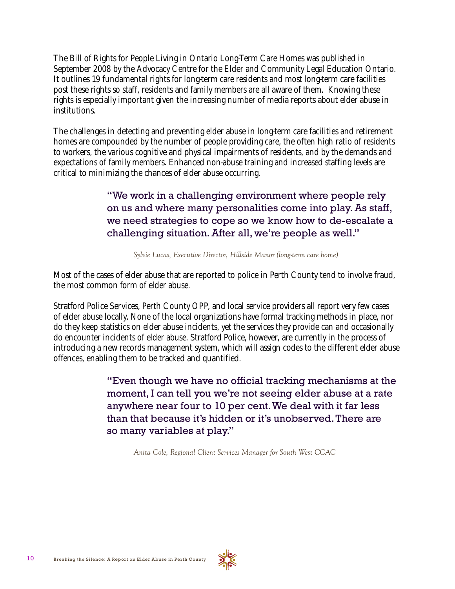The Bill of Rights for People Living in Ontario Long-Term Care Homes was published in September 2008 by the Advocacy Centre for the Elder and Community Legal Education Ontario. It outlines 19 fundamental rights for long-term care residents and most long-term care facilities post these rights so staff, residents and family members are all aware of them. Knowing these rights is especially important given the increasing number of media reports about elder abuse in institutions.

The challenges in detecting and preventing elder abuse in long-term care facilities and retirement homes are compounded by the number of people providing care, the often high ratio of residents to workers, the various cognitive and physical impairments of residents, and by the demands and expectations of family members. Enhanced non-abuse training and increased staffing levels are critical to minimizing the chances of elder abuse occurring.

> "We work in a challenging environment where people rely on us and where many personalities come into play. As staff, we need strategies to cope so we know how to de-escalate a challenging situation. After all, we're people as well."

*Sylvie Lucas, Executive Director, Hillside Manor (long-term care home)*

Most of the cases of elder abuse that are reported to police in Perth County tend to involve fraud, the most common form of elder abuse.

Stratford Police Services, Perth County OPP, and local service providers all report very few cases of elder abuse locally. None of the local organizations have formal tracking methods in place, nor do they keep statistics on elder abuse incidents, yet the services they provide can and occasionally do encounter incidents of elder abuse. Stratford Police, however, are currently in the process of introducing a new records management system, which will assign codes to the different elder abuse offences, enabling them to be tracked and quantified.

> "Even though we have no official tracking mechanisms at the moment, I can tell you we're not seeing elder abuse at a rate anywhere near four to 10 per cent. We deal with it far less than that because it's hidden or it's unobserved. There are so many variables at play."

*Anita Cole, Regional Client Services Manager for South West CCAC* 



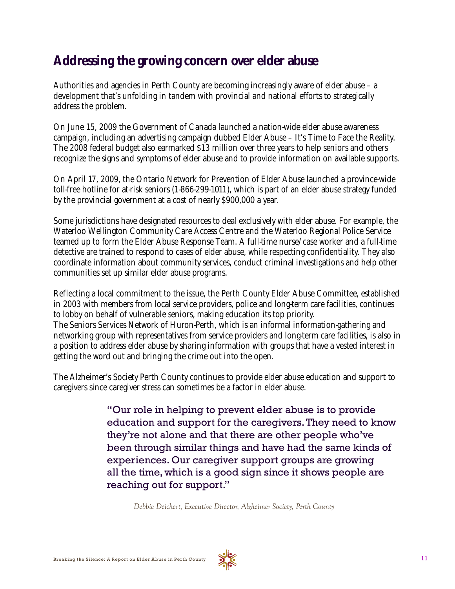# **Addressing the growing concern over elder abuse**

Authorities and agencies in Perth County are becoming increasingly aware of elder abuse – a development that's unfolding in tandem with provincial and national efforts to strategically address the problem.

On June 15, 2009 the Government of Canada launched a nation-wide elder abuse awareness campaign, including an advertising campaign dubbed Elder Abuse – It's Time to Face the Reality. The 2008 federal budget also earmarked \$13 million over three years to help seniors and others recognize the signs and symptoms of elder abuse and to provide information on available supports.

On April 17, 2009, the Ontario Network for Prevention of Elder Abuse launched a province-wide toll-free hotline for at-risk seniors (1-866-299-1011), which is part of an elder abuse strategy funded by the provincial government at a cost of nearly \$900,000 a year.

Some jurisdictions have designated resources to deal exclusively with elder abuse. For example, the Waterloo Wellington Community Care Access Centre and the Waterloo Regional Police Service teamed up to form the Elder Abuse Response Team. A full-time nurse/case worker and a full-time detective are trained to respond to cases of elder abuse, while respecting confidentiality. They also coordinate information about community services, conduct criminal investigations and help other communities set up similar elder abuse programs.

Reflecting a local commitment to the issue, the Perth County Elder Abuse Committee, established in 2003 with members from local service providers, police and long-term care facilities, continues to lobby on behalf of vulnerable seniors, making education its top priority. The Seniors Services Network of Huron-Perth, which is an informal information-gathering and networking group with representatives from service providers and long-term care facilities, is also in a position to address elder abuse by sharing information with groups that have a vested interest in getting the word out and bringing the crime out into the open.

The Alzheimer's Society Perth County continues to provide elder abuse education and support to caregivers since caregiver stress can sometimes be a factor in elder abuse.

> "Our role in helping to prevent elder abuse is to provide education and support for the caregivers. They need to know they're not alone and that there are other people who've been through similar things and have had the same kinds of experiences. Our caregiver support groups are growing all the time, which is a good sign since it shows people are reaching out for support."

*Debbie Deichert, Executive Director, Alzheimer Society, Perth County*

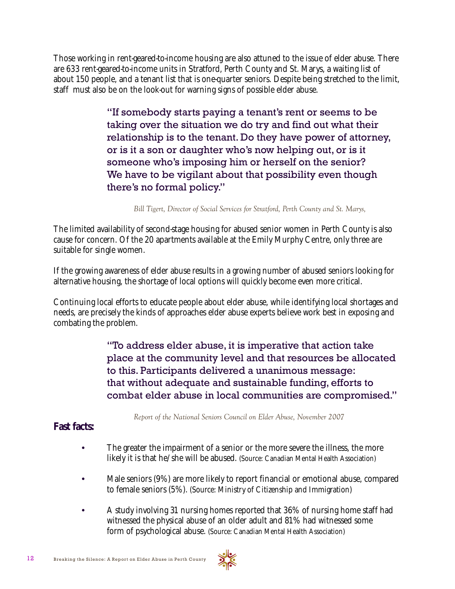Those working in rent-geared-to-income housing are also attuned to the issue of elder abuse. There are 633 rent-geared-to-income units in Stratford, Perth County and St. Marys, a waiting list of about 150 people, and a tenant list that is one-quarter seniors. Despite being stretched to the limit, staff must also be on the look-out for warning signs of possible elder abuse.

> "If somebody starts paying a tenant's rent or seems to be taking over the situation we do try and find out what their relationship is to the tenant. Do they have power of attorney, or is it a son or daughter who's now helping out, or is it someone who's imposing him or herself on the senior? We have to be vigilant about that possibility even though there's no formal policy."

*Bill Tigert, Director of Social Services for Stratford, Perth County and St. Marys,*

The limited availability of second-stage housing for abused senior women in Perth County is also cause for concern. Of the 20 apartments available at the Emily Murphy Centre, only three are suitable for single women.

If the growing awareness of elder abuse results in a growing number of abused seniors looking for alternative housing, the shortage of local options will quickly become even more critical.

Continuing local efforts to educate people about elder abuse, while identifying local shortages and needs, are precisely the kinds of approaches elder abuse experts believe work best in exposing and combating the problem.

> "To address elder abuse, it is imperative that action take place at the community level and that resources be allocated to this. Participants delivered a unanimous message: that without adequate and sustainable funding, efforts to combat elder abuse in local communities are compromised."

*Report of the National Seniors Council on Elder Abuse, November 2007*

### **Fast facts:**

- The greater the impairment of a senior or the more severe the illness, the more likely it is that he/she will be abused. (Source: Canadian Mental Health Association)
- Male seniors (9%) are more likely to report financial or emotional abuse, compared to female seniors (5%). (Source: Ministry of Citizenship and Immigration)
- A study involving 31 nursing homes reported that 36% of nursing home staff had witnessed the physical abuse of an older adult and 81% had witnessed some form of psychological abuse. (Source: Canadian Mental Health Association)

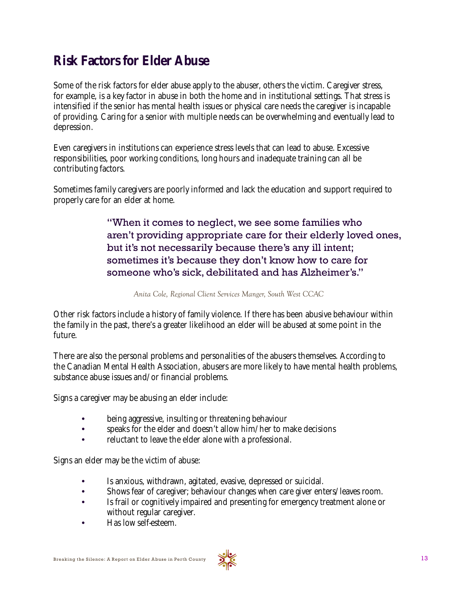## **Risk Factors for Elder Abuse**

Some of the risk factors for elder abuse apply to the abuser, others the victim. Caregiver stress, for example, is a key factor in abuse in both the home and in institutional settings. That stress is intensified if the senior has mental health issues or physical care needs the caregiver is incapable of providing. Caring for a senior with multiple needs can be overwhelming and eventually lead to depression.

Even caregivers in institutions can experience stress levels that can lead to abuse. Excessive responsibilities, poor working conditions, long hours and inadequate training can all be contributing factors.

Sometimes family caregivers are poorly informed and lack the education and support required to properly care for an elder at home.

> "When it comes to neglect, we see some families who aren't providing appropriate care for their elderly loved ones, but it's not necessarily because there's any ill intent; sometimes it's because they don't know how to care for someone who's sick, debilitated and has Alzheimer's."

*Anita Cole, Regional Client Services Manger, South West CCAC*

Other risk factors include a history of family violence. If there has been abusive behaviour within the family in the past, there's a greater likelihood an elder will be abused at some point in the future.

There are also the personal problems and personalities of the abusers themselves. According to the Canadian Mental Health Association, abusers are more likely to have mental health problems, substance abuse issues and/or financial problems.

Signs a caregiver may be abusing an elder include:

- being aggressive, insulting or threatening behaviour
- speaks for the elder and doesn't allow him/her to make decisions
- reluctant to leave the elder alone with a professional.

Signs an elder may be the victim of abuse:

- Is anxious, withdrawn, agitated, evasive, depressed or suicidal.
- Shows fear of caregiver; behaviour changes when care giver enters/leaves room.
- Is frail or cognitively impaired and presenting for emergency treatment alone or without regular caregiver.
- Has low self-esteem.

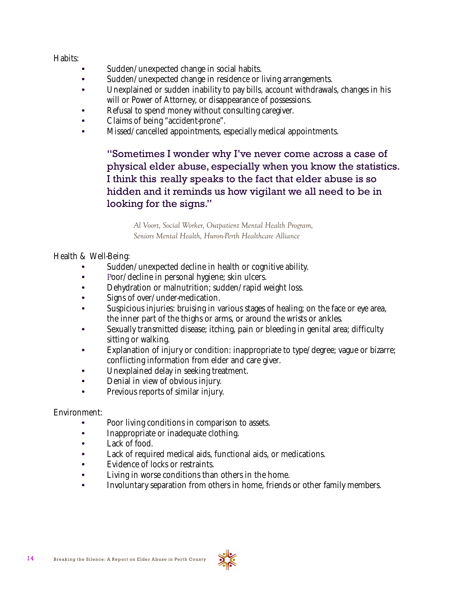Habits:

- Sudden/unexpected change in social habits.
- Sudden/unexpected change in residence or living arrangements.
- Unexplained or sudden inability to pay bills, account withdrawals, changes in his will or Power of Attorney, or disappearance of possessions.
- Refusal to spend money without consulting caregiver.
- Claims of being "accident-prone".
- Missed/cancelled appointments, especially medical appointments.

"Sometimes I wonder why I've never come across a case of physical elder abuse, especially when you know the statistics. I think this really speaks to the fact that elder abuse is so hidden and it reminds us how vigilant we all need to be in looking for the signs."

 *Al Voort, Social Worker, Outpatient Mental Health Program, Seniors Mental Health, Huron-Perth Healthcare Alliance*

#### Health & Well-Being:

- Sudden/unexpected decline in health or cognitive ability.
- Poor/decline in personal hygiene; skin ulcers.
- Dehydration or malnutrition; sudden/rapid weight loss.
- Signs of over/under-medication.
- Suspicious injuries: bruising in various stages of healing; on the face or eye area, the inner part of the thighs or arms, or around the wrists or ankles.
- Sexually transmitted disease; itching, pain or bleeding in genital area; difficulty sitting or walking.
- Explanation of injury or condition: inappropriate to type/degree; vague or bizarre; conflicting information from elder and care giver.
- Unexplained delay in seeking treatment.
- Denial in view of obvious injury.
- Previous reports of similar injury.

#### Environment:

- Poor living conditions in comparison to assets.
- Inappropriate or inadequate clothing.
- Lack of food.
- Lack of required medical aids, functional aids, or medications.
- Evidence of locks or restraints.
- Living in worse conditions than others in the home.
- Involuntary separation from others in home, friends or other family members.

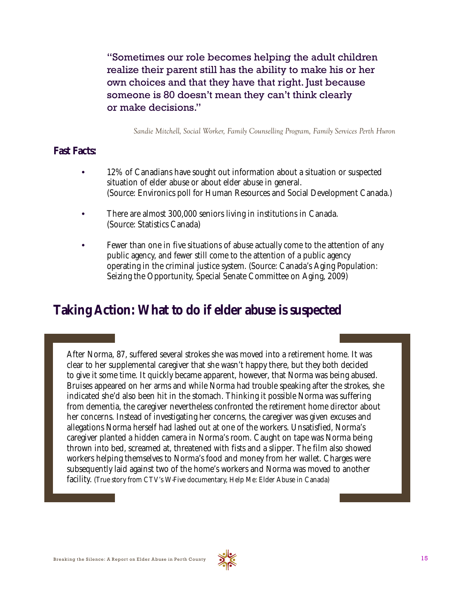"Sometimes our role becomes helping the adult children realize their parent still has the ability to make his or her own choices and that they have that right. Just because someone is 80 doesn't mean they can't think clearly or make decisions."

*Sandie Mitchell, Social Worker, Family Counselling Program, Family Services Perth Huron*

#### **Fast Facts:**

- 12% of Canadians have sought out information about a situation or suspected situation of elder abuse or about elder abuse in general. (Source: Environics poll for Human Resources and Social Development Canada.)
- There are almost 300,000 seniors living in institutions in Canada. (Source: Statistics Canada)
- Fewer than one in five situations of abuse actually come to the attention of any public agency, and fewer still come to the attention of a public agency operating in the criminal justice system. (Source: Canada's Aging Population: Seizing the Opportunity, Special Senate Committee on Aging, 2009)

## **Taking Action: What to do if elder abuse is suspected**

After Norma, 87, suffered several strokes she was moved into a retirement home. It was clear to her supplemental caregiver that she wasn't happy there, but they both decided to give it some time. It quickly became apparent, however, that Norma was being abused. Bruises appeared on her arms and while Norma had trouble speaking after the strokes, she indicated she'd also been hit in the stomach. Thinking it possible Norma was suffering from dementia, the caregiver nevertheless confronted the retirement home director about her concerns. Instead of investigating her concerns, the caregiver was given excuses and allegations Norma herself had lashed out at one of the workers. Unsatisfied, Norma's caregiver planted a hidden camera in Norma's room. Caught on tape was Norma being thrown into bed, screamed at, threatened with fists and a slipper. The film also showed workers helping themselves to Norma's food and money from her wallet. Charges were subsequently laid against two of the home's workers and Norma was moved to another facility. (True story from CTV's W-Five documentary, Help Me: Elder Abuse in Canada)

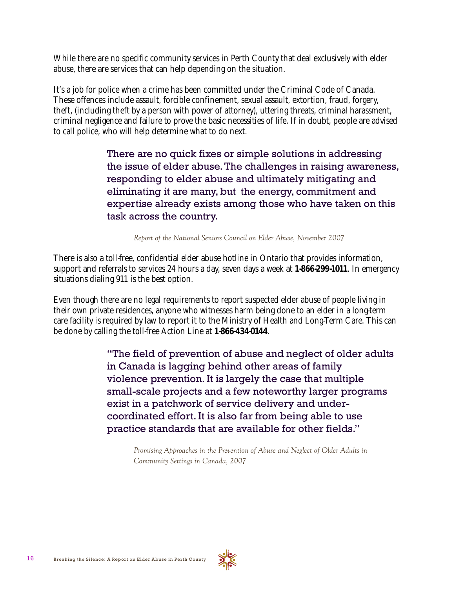While there are no specific community services in Perth County that deal exclusively with elder abuse, there are services that can help depending on the situation.

It's a job for police when a crime has been committed under the Criminal Code of Canada. These offences include assault, forcible confinement, sexual assault, extortion, fraud, forgery, theft, (including theft by a person with power of attorney), uttering threats, criminal harassment, criminal negligence and failure to prove the basic necessities of life. If in doubt, people are advised to call police, who will help determine what to do next.

> There are no quick fixes or simple solutions in addressing the issue of elder abuse. The challenges in raising awareness, responding to elder abuse and ultimately mitigating and eliminating it are many, but the energy, commitment and expertise already exists among those who have taken on this task across the country.

*Report of the National Seniors Council on Elder Abuse, November 2007*

There is also a toll-free, confidential elder abuse hotline in Ontario that provides information, support and referrals to services 24 hours a day, seven days a week at **1-866-299-1011**. In emergency situations dialing 911 is the best option.

Even though there are no legal requirements to report suspected elder abuse of people living in their own private residences, anyone who witnesses harm being done to an elder in a long-term care facility is required by law to report it to the Ministry of Health and Long-Term Care. This can be done by calling the toll-free Action Line at **1-866-434-0144**.

> "The field of prevention of abuse and neglect of older adults in Canada is lagging behind other areas of family violence prevention. It is largely the case that multiple small-scale projects and a few noteworthy larger programs exist in a patchwork of service delivery and undercoordinated effort. It is also far from being able to use practice standards that are available for other fields."

 *Promising Approaches in the Prevention of Abuse and Neglect of Older Adults in Community Settings in Canada, 2007*

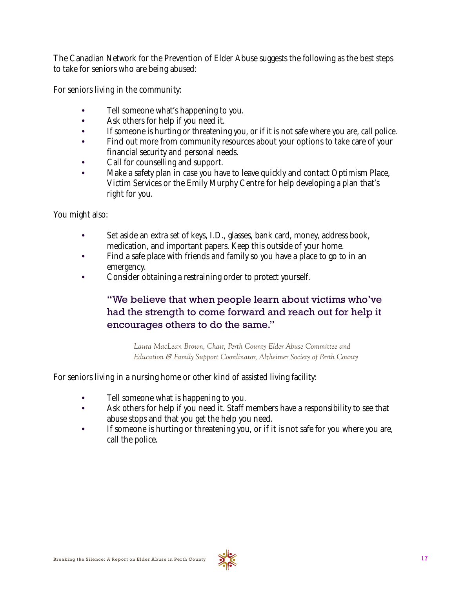The Canadian Network for the Prevention of Elder Abuse suggests the following as the best steps to take for seniors who are being abused:

For seniors living in the community:

- Tell someone what's happening to you.
- Ask others for help if you need it.
- If someone is hurting or threatening you, or if it is not safe where you are, call police.
- Find out more from community resources about your options to take care of your financial security and personal needs.
- Call for counselling and support.
- Make a safety plan in case you have to leave quickly and contact Optimism Place, Victim Services or the Emily Murphy Centre for help developing a plan that's right for you.

You might also:

- Set aside an extra set of keys, I.D., glasses, bank card, money, address book, medication, and important papers. Keep this outside of your home.
- Find a safe place with friends and family so you have a place to go to in an emergency.
- Consider obtaining a restraining order to protect yourself.

## "We believe that when people learn about victims who've had the strength to come forward and reach out for help it encourages others to do the same."

 *Laura MacLean Brown, Chair, Perth County Elder Abuse Committee and Education & Family Support Coordinator, Alzheimer Society of Perth County*

For seniors living in a nursing home or other kind of assisted living facility:

- Tell someone what is happening to you.
- Ask others for help if you need it. Staff members have a responsibility to see that abuse stops and that you get the help you need.
- If someone is hurting or threatening you, or if it is not safe for you where you are, call the police.

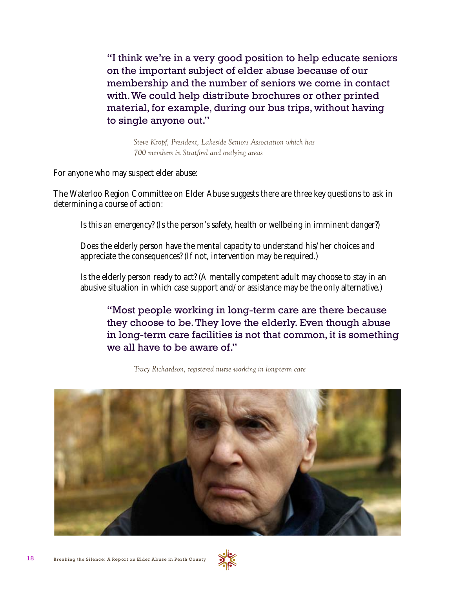"I think we're in a very good position to help educate seniors on the important subject of elder abuse because of our membership and the number of seniors we come in contact with. We could help distribute brochures or other printed material, for example, during our bus trips, without having to single anyone out."

 *Steve Kropf, President, Lakeside Seniors Association which has 700 members in Stratford and outlying areas*

For anyone who may suspect elder abuse:

The Waterloo Region Committee on Elder Abuse suggests there are three key questions to ask in determining a course of action:

Is this an emergency? (Is the person's safety, health or wellbeing in imminent danger?)

Does the elderly person have the mental capacity to understand his/her choices and appreciate the consequences? (If not, intervention may be required.)

Is the elderly person ready to act? (A mentally competent adult may choose to stay in an abusive situation in which case support and/or assistance may be the only alternative.)

"Most people working in long-term care are there because they choose to be. They love the elderly. Even though abuse in long-term care facilities is not that common, it is something we all have to be aware of."

*Tracy Richardson, registered nurse working in long-term care*



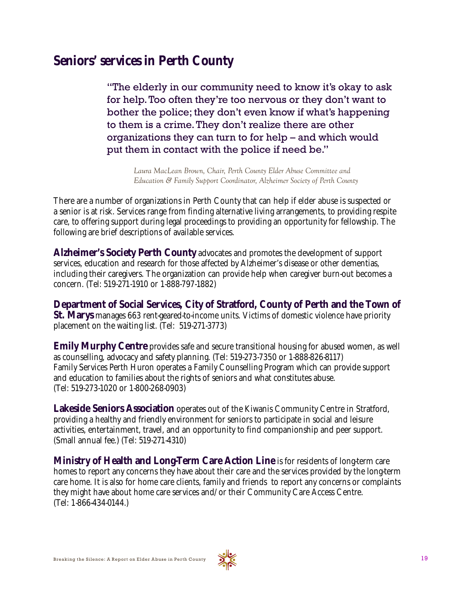## **Seniors' services in Perth County**

"The elderly in our community need to know it's okay to ask for help. Too often they're too nervous or they don't want to bother the police; they don't even know if what's happening to them is a crime. They don't realize there are other organizations they can turn to for help – and which would put them in contact with the police if need be."

 *Laura MacLean Brown, Chair, Perth County Elder Abuse Committee and Education & Family Support Coordinator, Alzheimer Society of Perth County*

There are a number of organizations in Perth County that can help if elder abuse is suspected or a senior is at risk. Services range from finding alternative living arrangements, to providing respite care, to offering support during legal proceedings to providing an opportunity for fellowship. The following are brief descriptions of available services.

**Alzheimer's Society Perth County** advocates and promotes the development of support services, education and research for those affected by Alzheimer's disease or other dementias, including their caregivers. The organization can provide help when caregiver burn-out becomes a concern. (Tel: 519-271-1910 or 1-888-797-1882)

**Department of Social Services, City of Stratford, County of Perth and the Town of St. Marys** manages 663 rent-geared-to-income units. Victims of domestic violence have priority placement on the waiting list. (Tel: 519-271-3773)

**Emily Murphy Centre** provides safe and secure transitional housing for abused women, as well as counselling, advocacy and safety planning. (Tel: 519-273-7350 or 1-888-826-8117) Family Services Perth Huron operates a Family Counselling Program which can provide support and education to families about the rights of seniors and what constitutes abuse. (Tel: 519-273-1020 or 1-800-268-0903)

**Lakeside Seniors Association** operates out of the Kiwanis Community Centre in Stratford, providing a healthy and friendly environment for seniors to participate in social and leisure activities, entertainment, travel, and an opportunity to find companionship and peer support. (Small annual fee.) (Tel: 519-271-4310)

**Ministry of Health and Long-Term Care Action Line** is for residents of long-term care homes to report any concerns they have about their care and the services provided by the long-term care home. It is also for home care clients, family and friends to report any concerns or complaints they might have about home care services and/or their Community Care Access Centre. (Tel: 1-866-434-0144.)

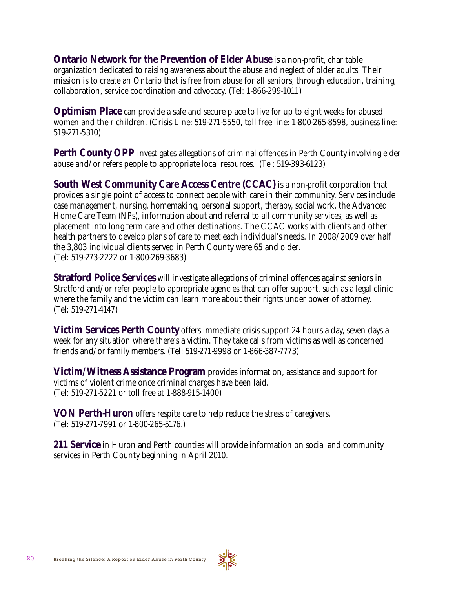**Ontario Network for the Prevention of Elder Abuse** is a non-profit, charitable organization dedicated to raising awareness about the abuse and neglect of older adults. Their mission is to create an Ontario that is free from abuse for all seniors, through education, training, collaboration, service coordination and advocacy. (Tel: 1-866-299-1011)

**Optimism Place** can provide a safe and secure place to live for up to eight weeks for abused women and their children. (Crisis Line: 519-271-5550, toll free line: 1-800-265-8598, business line: 519-271-5310)

**Perth County OPP** investigates allegations of criminal offences in Perth County involving elder abuse and/or refers people to appropriate local resources. (Tel: 519-393-6123)

**South West Community Care Access Centre (CCAC)** is a non-profit corporation that provides a single point of access to connect people with care in their community. Services include case management, nursing, homemaking, personal support, therapy, social work, the Advanced Home Care Team (NPs), information about and referral to all community services, as well as placement into long term care and other destinations. The CCAC works with clients and other health partners to develop plans of care to meet each individual's needs. In 2008/2009 over half the 3,803 individual clients served in Perth County were 65 and older. (Tel: 519-273-2222 or 1-800-269-3683)

**Stratford Police Services** will investigate allegations of criminal offences against seniors in Stratford and/or refer people to appropriate agencies that can offer support, such as a legal clinic where the family and the victim can learn more about their rights under power of attorney. (Tel: 519-271-4147)

**Victim Services Perth County** offers immediate crisis support 24 hours a day, seven days a week for any situation where there's a victim. They take calls from victims as well as concerned friends and/or family members. (Tel: 519-271-9998 or 1-866-387-7773)

**Victim/Witness Assistance Program** provides information, assistance and support for victims of violent crime once criminal charges have been laid. (Tel: 519-271-5221 or toll free at 1-888-915-1400)

**VON Perth-Huron** offers respite care to help reduce the stress of caregivers. (Tel: 519-271-7991 or 1-800-265-5176.)

**211 Service** in Huron and Perth counties will provide information on social and community services in Perth County beginning in April 2010.

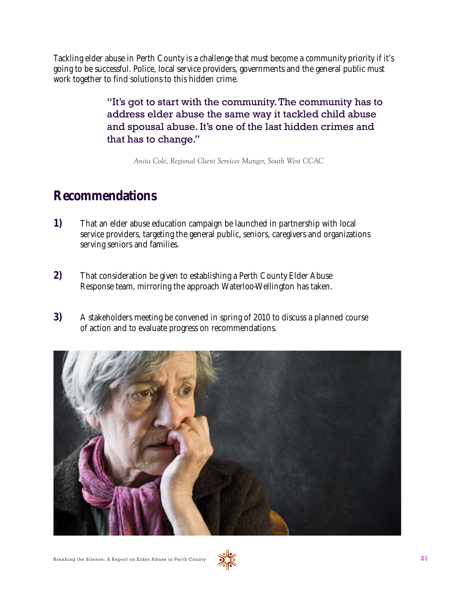Tackling elder abuse in Perth County is a challenge that must become a community priority if it's going to be successful. Police, local service providers, governments and the general public must work together to find solutions to this hidden crime.

> "It's got to start with the community. The community has to address elder abuse the same way it tackled child abuse and spousal abuse. It's one of the last hidden crimes and that has to change."

*Anita Cole, Regional Client Services Manger, South West CCAC*

# **Recommendations**

- **1)** That an elder abuse education campaign be launched in partnership with local service providers, targeting the general public, seniors, caregivers and organizations serving seniors and families.
- **2)** That consideration be given to establishing a Perth County Elder Abuse Response team, mirroring the approach Waterloo-Wellington has taken.
- **3)** A stakeholders meeting be convened in spring of 2010 to discuss a planned course of action and to evaluate progress on recommendations.



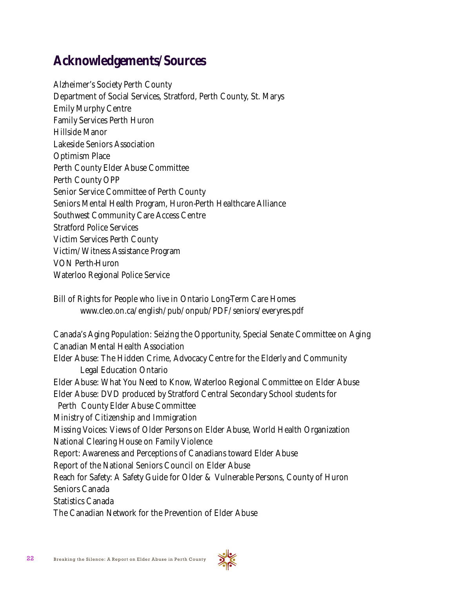# **Acknowledgements/Sources**

Alzheimer's Society Perth County Department of Social Services, Stratford, Perth County, St. Marys Emily Murphy Centre Family Services Perth Huron Hillside Manor Lakeside Seniors Association Optimism Place Perth County Elder Abuse Committee Perth County OPP Senior Service Committee of Perth County Seniors Mental Health Program, Huron-Perth Healthcare Alliance Southwest Community Care Access Centre Stratford Police Services Victim Services Perth County Victim/Witness Assistance Program VON Perth-Huron Waterloo Regional Police Service

Bill of Rights for People who live in Ontario Long-Term Care Homes www.cleo.on.ca/english/pub/onpub/PDF/seniors/everyres.pdf

Canada's Aging Population: Seizing the Opportunity, Special Senate Committee on Aging Canadian Mental Health Association Elder Abuse: The Hidden Crime, Advocacy Centre for the Elderly and Community Legal Education Ontario Elder Abuse: What You Need to Know, Waterloo Regional Committee on Elder Abuse Elder Abuse: DVD produced by Stratford Central Secondary School students for Perth County Elder Abuse Committee Ministry of Citizenship and Immigration Missing Voices: Views of Older Persons on Elder Abuse, World Health Organization National Clearing House on Family Violence Report: Awareness and Perceptions of Canadians toward Elder Abuse Report of the National Seniors Council on Elder Abuse Reach for Safety: A Safety Guide for Older & Vulnerable Persons, County of Huron Seniors Canada Statistics Canada The Canadian Network for the Prevention of Elder Abuse